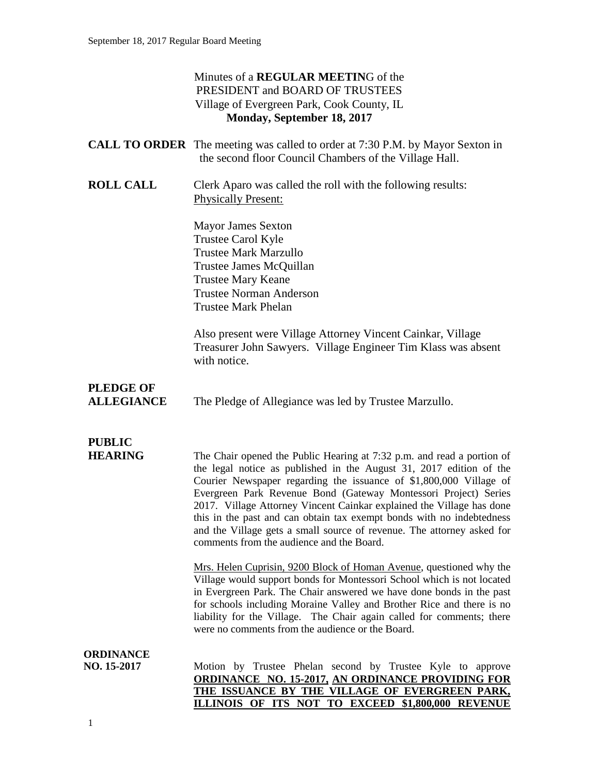### Minutes of a **REGULAR MEETIN**G of the PRESIDENT and BOARD OF TRUSTEES Village of Evergreen Park, Cook County, IL **Monday, September 18, 2017**

|                                       | <b>CALL TO ORDER</b> The meeting was called to order at 7:30 P.M. by Mayor Sexton in<br>the second floor Council Chambers of the Village Hall.                                                                                                                                                                                                                                                                                                                                                                                                                  |
|---------------------------------------|-----------------------------------------------------------------------------------------------------------------------------------------------------------------------------------------------------------------------------------------------------------------------------------------------------------------------------------------------------------------------------------------------------------------------------------------------------------------------------------------------------------------------------------------------------------------|
| <b>ROLL CALL</b>                      | Clerk Aparo was called the roll with the following results:<br><b>Physically Present:</b>                                                                                                                                                                                                                                                                                                                                                                                                                                                                       |
|                                       | <b>Mayor James Sexton</b><br>Trustee Carol Kyle<br><b>Trustee Mark Marzullo</b><br>Trustee James McQuillan<br><b>Trustee Mary Keane</b><br><b>Trustee Norman Anderson</b><br><b>Trustee Mark Phelan</b>                                                                                                                                                                                                                                                                                                                                                         |
|                                       | Also present were Village Attorney Vincent Cainkar, Village<br>Treasurer John Sawyers. Village Engineer Tim Klass was absent<br>with notice.                                                                                                                                                                                                                                                                                                                                                                                                                    |
| <b>PLEDGE OF</b><br><b>ALLEGIANCE</b> | The Pledge of Allegiance was led by Trustee Marzullo.                                                                                                                                                                                                                                                                                                                                                                                                                                                                                                           |
|                                       |                                                                                                                                                                                                                                                                                                                                                                                                                                                                                                                                                                 |
| <b>PUBLIC</b><br><b>HEARING</b>       | The Chair opened the Public Hearing at 7:32 p.m. and read a portion of<br>the legal notice as published in the August 31, 2017 edition of the<br>Courier Newspaper regarding the issuance of \$1,800,000 Village of<br>Evergreen Park Revenue Bond (Gateway Montessori Project) Series<br>2017. Village Attorney Vincent Cainkar explained the Village has done<br>this in the past and can obtain tax exempt bonds with no indebtedness<br>and the Village gets a small source of revenue. The attorney asked for<br>comments from the audience and the Board. |
|                                       | Mrs. Helen Cuprisin, 9200 Block of Homan Avenue, questioned why the<br>Village would support bonds for Montessori School which is not located<br>in Evergreen Park. The Chair answered we have done bonds in the past<br>for schools including Moraine Valley and Brother Rice and there is no<br>liability for the Village. The Chair again called for comments; there<br>were no comments from the audience or the Board.                                                                                                                                     |
| ORDINANCE<br>NO. 15-2017              | Motion by Trustee Phelan second by Trustee Kyle to approve<br><b>ORDINANCE NO. 15-2017, AN ORDINANCE PROVIDING FOR</b><br>THE ISSUANCE BY THE VILLAGE OF EVERGREEN PARK,                                                                                                                                                                                                                                                                                                                                                                                        |

**ILLINOIS OF ITS NOT TO EXCEED \$1,800,000 REVENUE**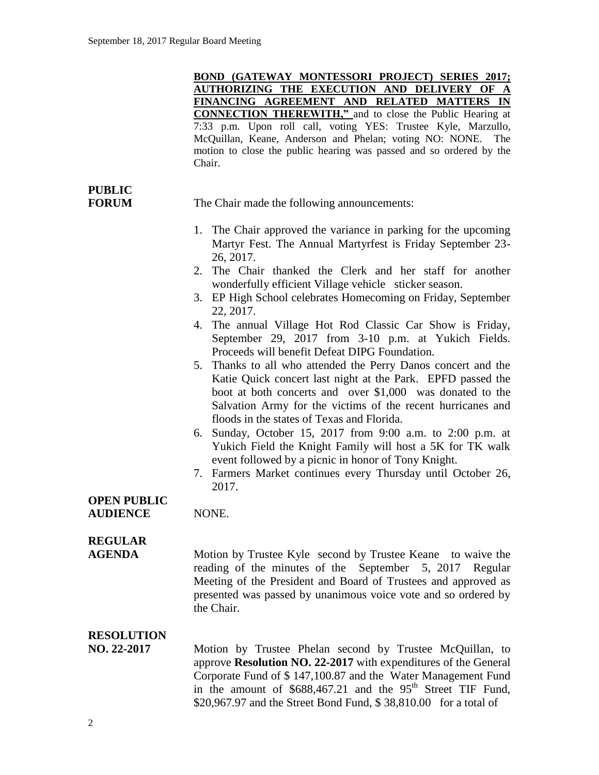**BOND (GATEWAY MONTESSORI PROJECT) SERIES 2017; AUTHORIZING THE EXECUTION AND DELIVERY OF A FINANCING AGREEMENT AND RELATED MATTERS IN CONNECTION THEREWITH,"** and to close the Public Hearing at 7:33 p.m. Upon roll call, voting YES: Trustee Kyle, Marzullo, McQuillan, Keane, Anderson and Phelan; voting NO: NONE. The motion to close the public hearing was passed and so ordered by the Chair.

# **PUBLIC**

**FORUM** The Chair made the following announcements:

- 1. The Chair approved the variance in parking for the upcoming Martyr Fest. The Annual Martyrfest is Friday September 23- 26, 2017.
- 2. The Chair thanked the Clerk and her staff for another wonderfully efficient Village vehicle sticker season.
- 3. EP High School celebrates Homecoming on Friday, September 22, 2017.
- 4. The annual Village Hot Rod Classic Car Show is Friday, September 29, 2017 from 3-10 p.m. at Yukich Fields. Proceeds will benefit Defeat DIPG Foundation.
- 5. Thanks to all who attended the Perry Danos concert and the Katie Quick concert last night at the Park. EPFD passed the boot at both concerts and over \$1,000 was donated to the Salvation Army for the victims of the recent hurricanes and floods in the states of Texas and Florida.
- 6. Sunday, October 15, 2017 from 9:00 a.m. to 2:00 p.m. at Yukich Field the Knight Family will host a 5K for TK walk event followed by a picnic in honor of Tony Knight.
- 7. Farmers Market continues every Thursday until October 26, 2017.

## **OPEN PUBLIC**

**AUDIENCE** NONE.

### **REGULAR**

**AGENDA** Motion by Trustee Kyle second by Trustee Keane to waive the reading of the minutes of the September 5, 2017 Regular Meeting of the President and Board of Trustees and approved as presented was passed by unanimous voice vote and so ordered by the Chair.

### **RESOLUTION**

**NO. 22-2017** Motion by Trustee Phelan second by Trustee McQuillan, to approve **Resolution NO. 22-2017** with expenditures of the General Corporate Fund of \$ 147,100.87 and the Water Management Fund in the amount of  $$688,467.21$  and the  $95<sup>th</sup>$  Street TIF Fund, \$20,967.97 and the Street Bond Fund, \$ 38,810.00 for a total of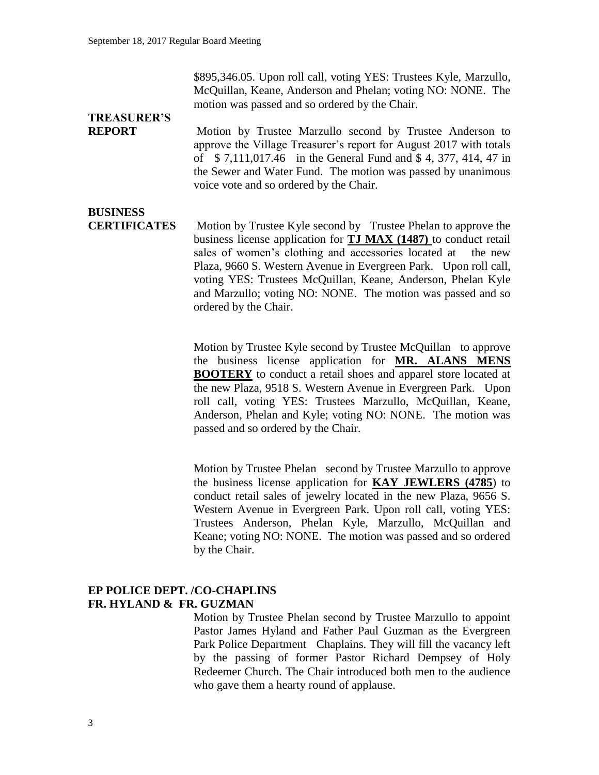\$895,346.05. Upon roll call, voting YES: Trustees Kyle, Marzullo, McQuillan, Keane, Anderson and Phelan; voting NO: NONE. The motion was passed and so ordered by the Chair.

# **TREASURER'S**

**REPORT** Motion by Trustee Marzullo second by Trustee Anderson to approve the Village Treasurer's report for August 2017 with totals of \$ 7,111,017.46 in the General Fund and \$ 4, 377, 414, 47 in the Sewer and Water Fund. The motion was passed by unanimous voice vote and so ordered by the Chair.

## **BUSINESS**

**CERTIFICATES** Motion by Trustee Kyle second by Trustee Phelan to approve the business license application for **TJ MAX (1487)** to conduct retail sales of women's clothing and accessories located at the new Plaza, 9660 S. Western Avenue in Evergreen Park. Upon roll call, voting YES: Trustees McQuillan, Keane, Anderson, Phelan Kyle and Marzullo; voting NO: NONE. The motion was passed and so ordered by the Chair.

> Motion by Trustee Kyle second by Trustee McQuillan to approve the business license application for **MR. ALANS MENS BOOTERY** to conduct a retail shoes and apparel store located at the new Plaza, 9518 S. Western Avenue in Evergreen Park. Upon roll call, voting YES: Trustees Marzullo, McQuillan, Keane, Anderson, Phelan and Kyle; voting NO: NONE. The motion was passed and so ordered by the Chair.

> Motion by Trustee Phelan second by Trustee Marzullo to approve the business license application for **KAY JEWLERS (4785**) to conduct retail sales of jewelry located in the new Plaza, 9656 S. Western Avenue in Evergreen Park. Upon roll call, voting YES: Trustees Anderson, Phelan Kyle, Marzullo, McQuillan and Keane; voting NO: NONE. The motion was passed and so ordered by the Chair.

#### **EP POLICE DEPT. /CO-CHAPLINS FR. HYLAND & FR. GUZMAN**

Motion by Trustee Phelan second by Trustee Marzullo to appoint Pastor James Hyland and Father Paul Guzman as the Evergreen Park Police Department Chaplains. They will fill the vacancy left by the passing of former Pastor Richard Dempsey of Holy Redeemer Church. The Chair introduced both men to the audience who gave them a hearty round of applause.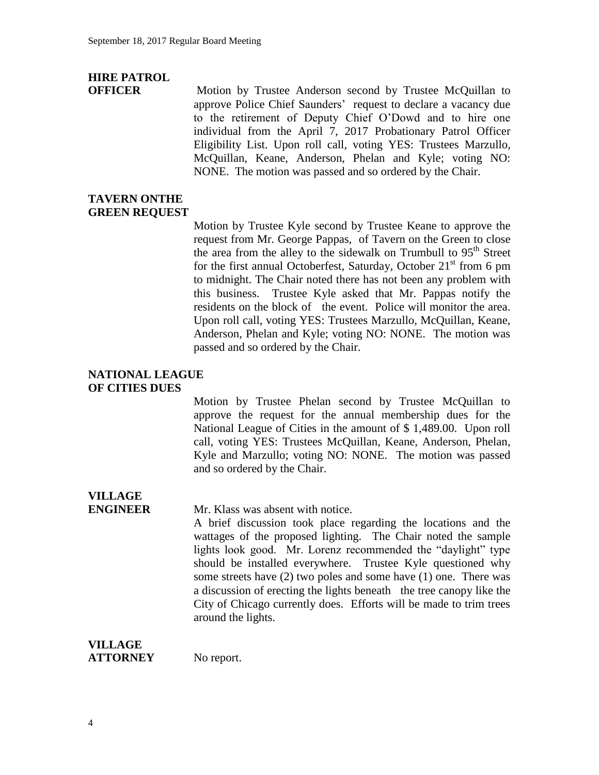# **HIRE PATROL**

**OFFICER** Motion by Trustee Anderson second by Trustee McQuillan to approve Police Chief Saunders' request to declare a vacancy due to the retirement of Deputy Chief O'Dowd and to hire one individual from the April 7, 2017 Probationary Patrol Officer Eligibility List. Upon roll call, voting YES: Trustees Marzullo, McQuillan, Keane, Anderson, Phelan and Kyle; voting NO: NONE. The motion was passed and so ordered by the Chair.

### **TAVERN ONTHE GREEN REQUEST**

Motion by Trustee Kyle second by Trustee Keane to approve the request from Mr. George Pappas, of Tavern on the Green to close the area from the alley to the sidewalk on Trumbull to  $95<sup>th</sup>$  Street for the first annual Octoberfest, Saturday, October  $21<sup>st</sup>$  from 6 pm to midnight. The Chair noted there has not been any problem with this business. Trustee Kyle asked that Mr. Pappas notify the residents on the block of the event. Police will monitor the area. Upon roll call, voting YES: Trustees Marzullo, McQuillan, Keane, Anderson, Phelan and Kyle; voting NO: NONE. The motion was passed and so ordered by the Chair.

#### **NATIONAL LEAGUE OF CITIES DUES**

Motion by Trustee Phelan second by Trustee McQuillan to approve the request for the annual membership dues for the National League of Cities in the amount of \$ 1,489.00. Upon roll call, voting YES: Trustees McQuillan, Keane, Anderson, Phelan, Kyle and Marzullo; voting NO: NONE. The motion was passed and so ordered by the Chair.

# **VILLAGE**

**ENGINEER** Mr. Klass was absent with notice.

A brief discussion took place regarding the locations and the wattages of the proposed lighting. The Chair noted the sample lights look good. Mr. Lorenz recommended the "daylight" type should be installed everywhere. Trustee Kyle questioned why some streets have (2) two poles and some have (1) one. There was a discussion of erecting the lights beneath the tree canopy like the City of Chicago currently does. Efforts will be made to trim trees around the lights.

| <b>VILLAGE</b>  |            |
|-----------------|------------|
| <b>ATTORNEY</b> | No report. |